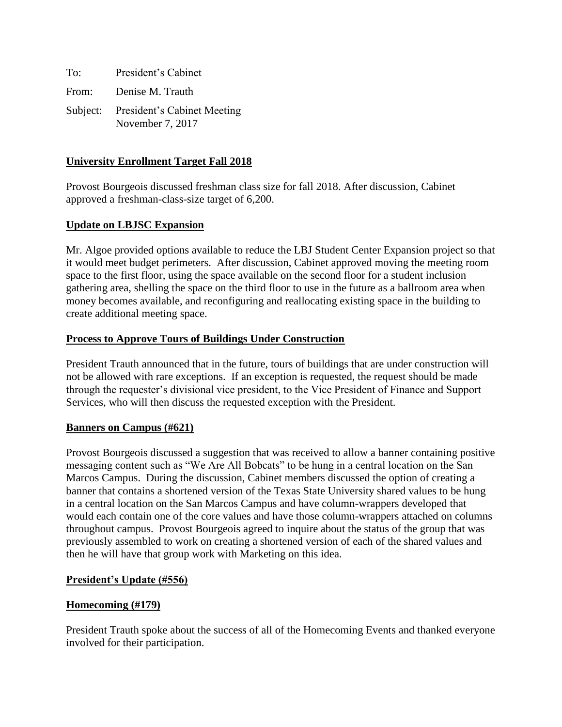| To:   | President's Cabinet                                      |
|-------|----------------------------------------------------------|
| From: | Denise M. Trauth                                         |
|       | Subject: President's Cabinet Meeting<br>November 7, 2017 |

## **University Enrollment Target Fall 2018**

Provost Bourgeois discussed freshman class size for fall 2018. After discussion, Cabinet approved a freshman-class-size target of 6,200.

## **Update on LBJSC Expansion**

Mr. Algoe provided options available to reduce the LBJ Student Center Expansion project so that it would meet budget perimeters. After discussion, Cabinet approved moving the meeting room space to the first floor, using the space available on the second floor for a student inclusion gathering area, shelling the space on the third floor to use in the future as a ballroom area when money becomes available, and reconfiguring and reallocating existing space in the building to create additional meeting space.

## **Process to Approve Tours of Buildings Under Construction**

President Trauth announced that in the future, tours of buildings that are under construction will not be allowed with rare exceptions. If an exception is requested, the request should be made through the requester's divisional vice president, to the Vice President of Finance and Support Services, who will then discuss the requested exception with the President.

## **Banners on Campus (#621)**

Provost Bourgeois discussed a suggestion that was received to allow a banner containing positive messaging content such as "We Are All Bobcats" to be hung in a central location on the San Marcos Campus. During the discussion, Cabinet members discussed the option of creating a banner that contains a shortened version of the Texas State University shared values to be hung in a central location on the San Marcos Campus and have column-wrappers developed that would each contain one of the core values and have those column-wrappers attached on columns throughout campus. Provost Bourgeois agreed to inquire about the status of the group that was previously assembled to work on creating a shortened version of each of the shared values and then he will have that group work with Marketing on this idea.

## **President's Update (#556)**

## **Homecoming (#179)**

President Trauth spoke about the success of all of the Homecoming Events and thanked everyone involved for their participation.